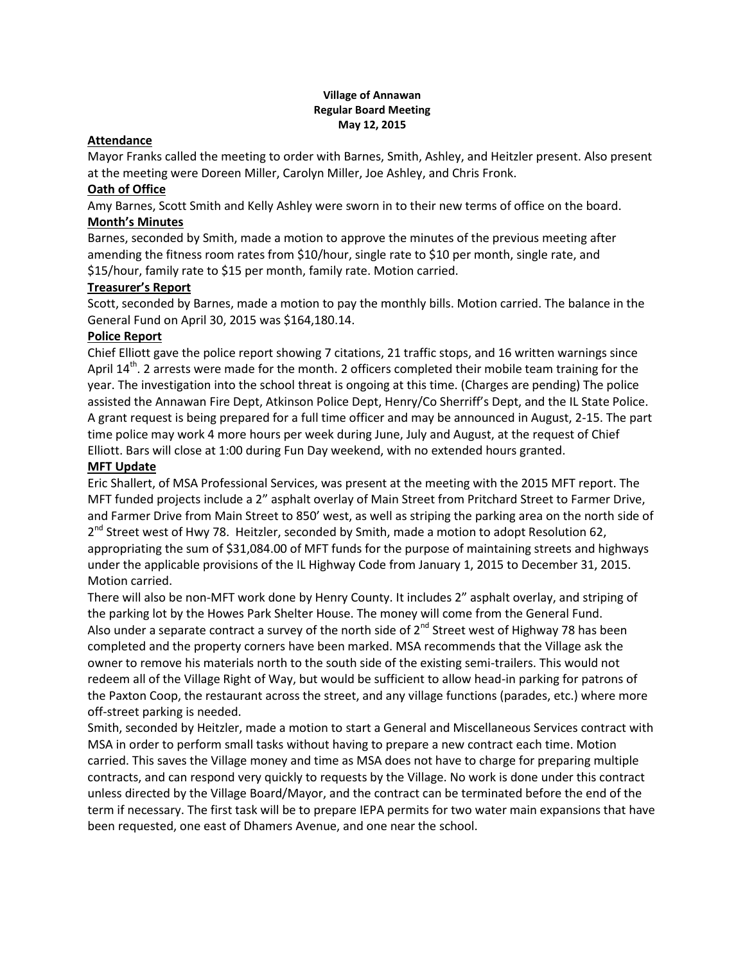#### **Village of Annawan Regular Board Meeting May 12, 2015**

## **Attendance**

Mayor Franks called the meeting to order with Barnes, Smith, Ashley, and Heitzler present. Also present at the meeting were Doreen Miller, Carolyn Miller, Joe Ashley, and Chris Fronk.

## **Oath of Office**

Amy Barnes, Scott Smith and Kelly Ashley were sworn in to their new terms of office on the board. **Month's Minutes**

Barnes, seconded by Smith, made a motion to approve the minutes of the previous meeting after amending the fitness room rates from \$10/hour, single rate to \$10 per month, single rate, and \$15/hour, family rate to \$15 per month, family rate. Motion carried.

# **Treasurer's Report**

Scott, seconded by Barnes, made a motion to pay the monthly bills. Motion carried. The balance in the General Fund on April 30, 2015 was \$164,180.14.

# **Police Report**

Chief Elliott gave the police report showing 7 citations, 21 traffic stops, and 16 written warnings since April  $14^{th}$ . 2 arrests were made for the month. 2 officers completed their mobile team training for the year. The investigation into the school threat is ongoing at this time. (Charges are pending) The police assisted the Annawan Fire Dept, Atkinson Police Dept, Henry/Co Sherriff's Dept, and the IL State Police. A grant request is being prepared for a full time officer and may be announced in August, 2-15. The part time police may work 4 more hours per week during June, July and August, at the request of Chief Elliott. Bars will close at 1:00 during Fun Day weekend, with no extended hours granted.

## **MFT Update**

Eric Shallert, of MSA Professional Services, was present at the meeting with the 2015 MFT report. The MFT funded projects include a 2" asphalt overlay of Main Street from Pritchard Street to Farmer Drive, and Farmer Drive from Main Street to 850' west, as well as striping the parking area on the north side of 2<sup>nd</sup> Street west of Hwy 78. Heitzler, seconded by Smith, made a motion to adopt Resolution 62, appropriating the sum of \$31,084.00 of MFT funds for the purpose of maintaining streets and highways under the applicable provisions of the IL Highway Code from January 1, 2015 to December 31, 2015. Motion carried.

There will also be non-MFT work done by Henry County. It includes 2" asphalt overlay, and striping of the parking lot by the Howes Park Shelter House. The money will come from the General Fund. Also under a separate contract a survey of the north side of  $2^{nd}$  Street west of Highway 78 has been completed and the property corners have been marked. MSA recommends that the Village ask the owner to remove his materials north to the south side of the existing semi-trailers. This would not redeem all of the Village Right of Way, but would be sufficient to allow head-in parking for patrons of the Paxton Coop, the restaurant across the street, and any village functions (parades, etc.) where more off-street parking is needed.

Smith, seconded by Heitzler, made a motion to start a General and Miscellaneous Services contract with MSA in order to perform small tasks without having to prepare a new contract each time. Motion carried. This saves the Village money and time as MSA does not have to charge for preparing multiple contracts, and can respond very quickly to requests by the Village. No work is done under this contract unless directed by the Village Board/Mayor, and the contract can be terminated before the end of the term if necessary. The first task will be to prepare IEPA permits for two water main expansions that have been requested, one east of Dhamers Avenue, and one near the school.